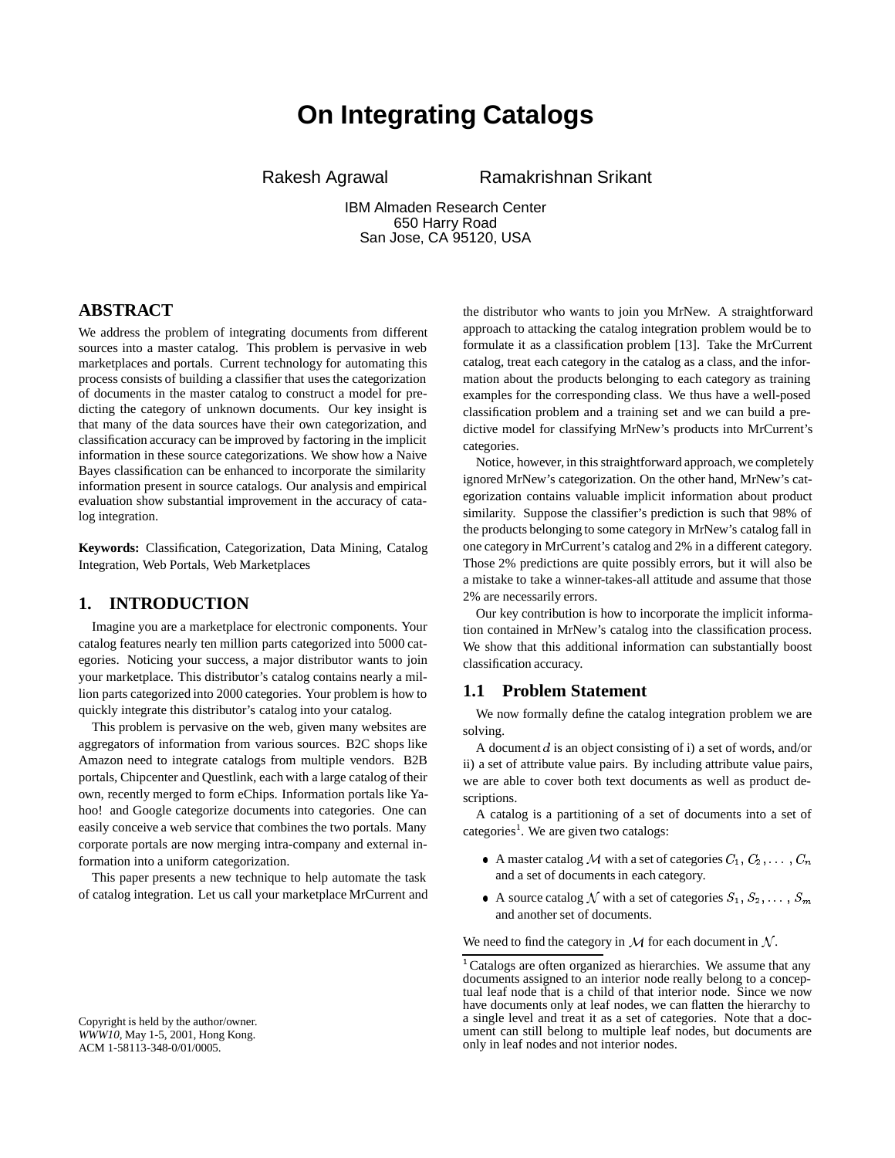# **On Integrating Catalogs**

Rakesh Agrawal **Ramakrishnan Srikant** 

IBM Almaden Research Center 650 Harry Road San Jose, CA 95120, USA

# **ABSTRACT**

We address the problem of integrating documents from different sources into a master catalog. This problem is pervasive in web marketplaces and portals. Current technology for automating this process consists of building a classifier that uses the categorization of documents in the master catalog to construct a model for predicting the category of unknown documents. Our key insight is that many of the data sources have their own categorization, and classification accuracy can be improved by factoring in the implicit information in these source categorizations. We show how a Naive Bayes classification can be enhanced to incorporate the similarity information present in source catalogs. Our analysis and empirical evaluation show substantial improvement in the accuracy of catalog integration.

**Keywords:** Classification, Categorization, Data Mining, Catalog Integration, Web Portals, Web Marketplaces

## **1. INTRODUCTION**

Imagine you are a marketplace for electronic components. Your catalog features nearly ten million parts categorized into 5000 categories. Noticing your success, a major distributor wants to join your marketplace. This distributor's catalog contains nearly a million parts categorized into 2000 categories. Your problem is how to quickly integrate this distributor's catalog into your catalog.

This problem is pervasive on the web, given many websites are aggregators of information from various sources. B2C shops like Amazon need to integrate catalogs from multiple vendors. B2B portals, Chipcenter and Questlink, each with a large catalog of their own, recently merged to form eChips. Information portals like Yahoo! and Google categorize documents into categories. One can easily conceive a web service that combines the two portals. Many corporate portals are now merging intra-company and external information into a uniform categorization.

This paper presents a new technique to help automate the task of catalog integration. Let us call your marketplace MrCurrent and the distributor who wants to join you MrNew. A straightforward approach to attacking the catalog integration problem would be to formulate it as a classification problem [13]. Take the MrCurrent catalog, treat each category in the catalog as a class, and the information about the products belonging to each category as training examples for the corresponding class. We thus have a well-posed classification problem and a training set and we can build a predictive model for classifying MrNew's products into MrCurrent's categories.

Notice, however, in this straightforward approach, we completely ignored MrNew's categorization. On the other hand, MrNew's categorization contains valuable implicit information about product similarity. Suppose the classifier's prediction is such that 98% of the products belonging to some category in MrNew's catalog fall in one category in MrCurrent's catalog and 2% in a different category. Those 2% predictions are quite possibly errors, but it will also be a mistake to take a winner-takes-all attitude and assume that those 2% are necessarily errors.

Our key contribution is how to incorporate the implicit information contained in MrNew's catalog into the classification process. We show that this additional information can substantially boost classification accuracy.

## **1.1 Problem Statement**

We now formally define the catalog integration problem we are solving.

A document <sup>d</sup> is an object consisting of i) a set of words, and/or ii) a set of attribute value pairs. By including attribute value pairs, we are able to cover both text documents as well as product descriptions.

A catalog is a partitioning of a set of documents into a set of categories<sup>1</sup>. We are given two catalogs:

- A master catalog M with a set of categories  $C_1, C_2, \ldots, C_n$ and a set of documents in each category.
- A source catalog N with a set of categories  $S_1, S_2, \ldots, S_m$ and another set of documents.

We need to find the category in  $\mathcal M$  for each document in  $\mathcal N$ .

<sup>&</sup>lt;sup>1</sup> Catalogs are often organized as hierarchies. We assume that any documents assigned to an interior node really belong to a conceptual leaf node that is a child of that interior node. Since we now have documents only at leaf nodes, we can flatten the hierarchy to a single level and treat it as a set of categories. Note that a document can still belong to multiple leaf nodes, but documents are only in leaf nodes and not interior nodes.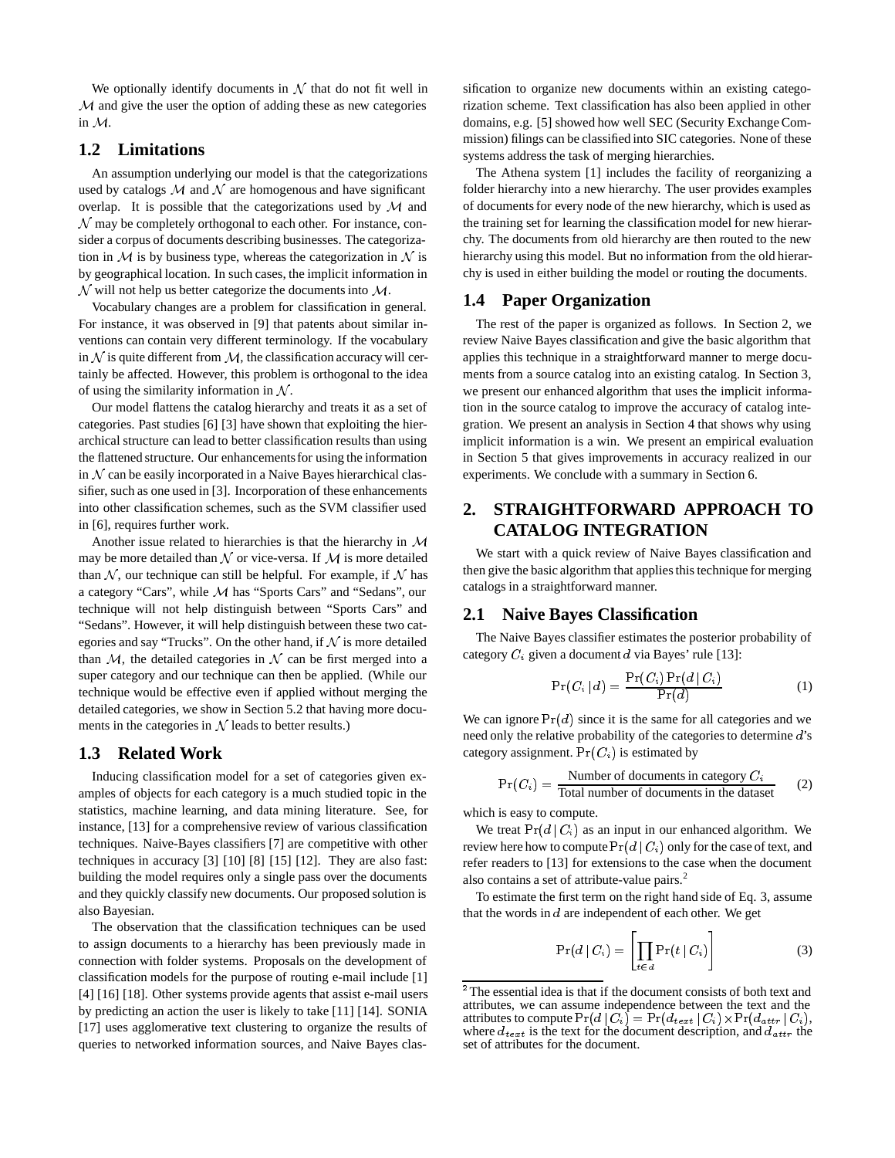We optionally identify documents in  $N$  that do not fit well in M and give the user the option of adding these as new categories in M.

#### **1.2 Limitations**

An assumption underlying our model is that the categorizations used by catalogs  $M$  and  $N$  are homogenous and have significant overlap. It is possible that the categorizations used by  $M$  and  $\mathcal N$  may be completely orthogonal to each other. For instance, consider a corpus of documents describing businesses. The categorization in  $M$  is by business type, whereas the categorization in  $N$  is by geographical location. In such cases, the implicit information in  $\mathcal N$  will not help us better categorize the documents into  $\mathcal M$ .

Vocabulary changes are a problem for classification in general. For instance, it was observed in [9] that patents about similar inventions can contain very different terminology. If the vocabulary in  $\mathcal N$  is quite different from  $\mathcal M$ , the classification accuracy will certainly be affected. However, this problem is orthogonal to the idea of using the similarity information in  $N$ .

Our model flattens the catalog hierarchy and treats it as a set of categories. Past studies [6] [3] have shown that exploiting the hierarchical structure can lead to better classification results than using the flattened structure. Our enhancementsfor using the information in  $N$  can be easily incorporated in a Naive Bayes hierarchical classifier, such as one used in [3]. Incorporation of these enhancements into other classification schemes, such as the SVM classifier used in [6], requires further work.

Another issue related to hierarchies is that the hierarchy in M may be more detailed than  $N$  or vice-versa. If  $M$  is more detailed than  $N$ , our technique can still be helpful. For example, if  $N$  has a category "Cars", while M has "Sports Cars" and "Sedans", our technique will not help distinguish between "Sports Cars" and "Sedans". However, it will help distinguish between these two categories and say "Trucks". On the other hand, if  $N$  is more detailed than  $M$ , the detailed categories in  $N$  can be first merged into a super category and our technique can then be applied. (While our technique would be effective even if applied without merging the detailed categories, we show in Section 5.2 that having more documents in the categories in  $N$  leads to better results.)

#### **1.3 Related Work**

Inducing classification model for a set of categories given examples of objects for each category is a much studied topic in the statistics, machine learning, and data mining literature. See, for instance, [13] for a comprehensive review of various classification techniques. Naive-Bayes classifiers [7] are competitive with other techniques in accuracy [3] [10] [8] [15] [12]. They are also fast: building the model requires only a single pass over the documents and they quickly classify new documents. Our proposed solution is also Bayesian.

The observation that the classification techniques can be used to assign documents to a hierarchy has been previously made in connection with folder systems. Proposals on the development of classification models for the purpose of routing e-mail include [1] [4] [16] [18]. Other systems provide agents that assist e-mail users by predicting an action the user is likely to take [11] [14]. SONIA [17] uses agglomerative text clustering to organize the results of queries to networked information sources, and Naive Bayes classification to organize new documents within an existing categorization scheme. Text classification has also been applied in other domains, e.g. [5] showed how well SEC (Security Exchange Commission) filings can be classified into SIC categories. None of these systems address the task of merging hierarchies.

The Athena system [1] includes the facility of reorganizing a folder hierarchy into a new hierarchy. The user provides examples of documents for every node of the new hierarchy, which is used as the training set for learning the classification model for new hierarchy. The documents from old hierarchy are then routed to the new hierarchy using this model. But no information from the old hierarchy is used in either building the model or routing the documents.

#### **1.4 Paper Organization**

The rest of the paper is organized as follows. In Section 2, we review Naive Bayes classification and give the basic algorithm that applies this technique in a straightforward manner to merge documents from a source catalog into an existing catalog. In Section 3, we present our enhanced algorithm that uses the implicit information in the source catalog to improve the accuracy of catalog integration. We present an analysis in Section 4 that shows why using implicit information is a win. We present an empirical evaluation in Section 5 that gives improvements in accuracy realized in our experiments. We conclude with a summary in Section 6.

# **2. STRAIGHTFORWARD APPROACH TO CATALOG INTEGRATION**

We start with a quick review of Naive Bayes classification and then give the basic algorithm that applies this technique for merging catalogs in a straightforward manner.

## **2.1 Naive Bayes Classification**

The Naive Bayes classifier estimates the posterior probability of category  $C_i$  given a document d via Bayes' rule [13]:

$$
\Pr(C_i | d) = \frac{\Pr(C_i) \Pr(d | C_i)}{\Pr(d)} \tag{1}
$$

We can ignore  $Pr(d)$  since it is the same for all categories and we need only the relative probability of the categories to determine <sup>d</sup>'s category assignment.  $Pr(C_i)$  is estimated by

$$
Pr(C_i) = \frac{\text{Number of documents in category } C_i}{\text{Total number of documents in the dataset}} \tag{2}
$$

which is easy to compute.

We treat  $Pr(d|C_i)$  as an input in our enhanced algorithm. We review here how to compute  $Pr(d | C_i)$  only for the case of text, and refer readers to [13] for extensions to the case when the document also contains a set of attribute-value pairs.<sup>2</sup>

To estimate the first term on the right hand side of Eq. 3, assume that the words in  $d$  are independent of each other. We get

$$
\Pr(d \mid C_i) = \left[ \prod_{t \in d} \Pr(t \mid C_i) \right] \tag{3}
$$

<sup>&</sup>lt;sup>2</sup>The essential idea is that if the document consists of both text and attributes, we can assume independence between the text and the attributes to compute  $Pr(d | C_i) = Pr(d_{text} | C_i) \times Pr(d_{attr} | C_i)$ , where  $d_{text}$  is the text for the document description, and  $d_{attr}$  the set of attributes for the document.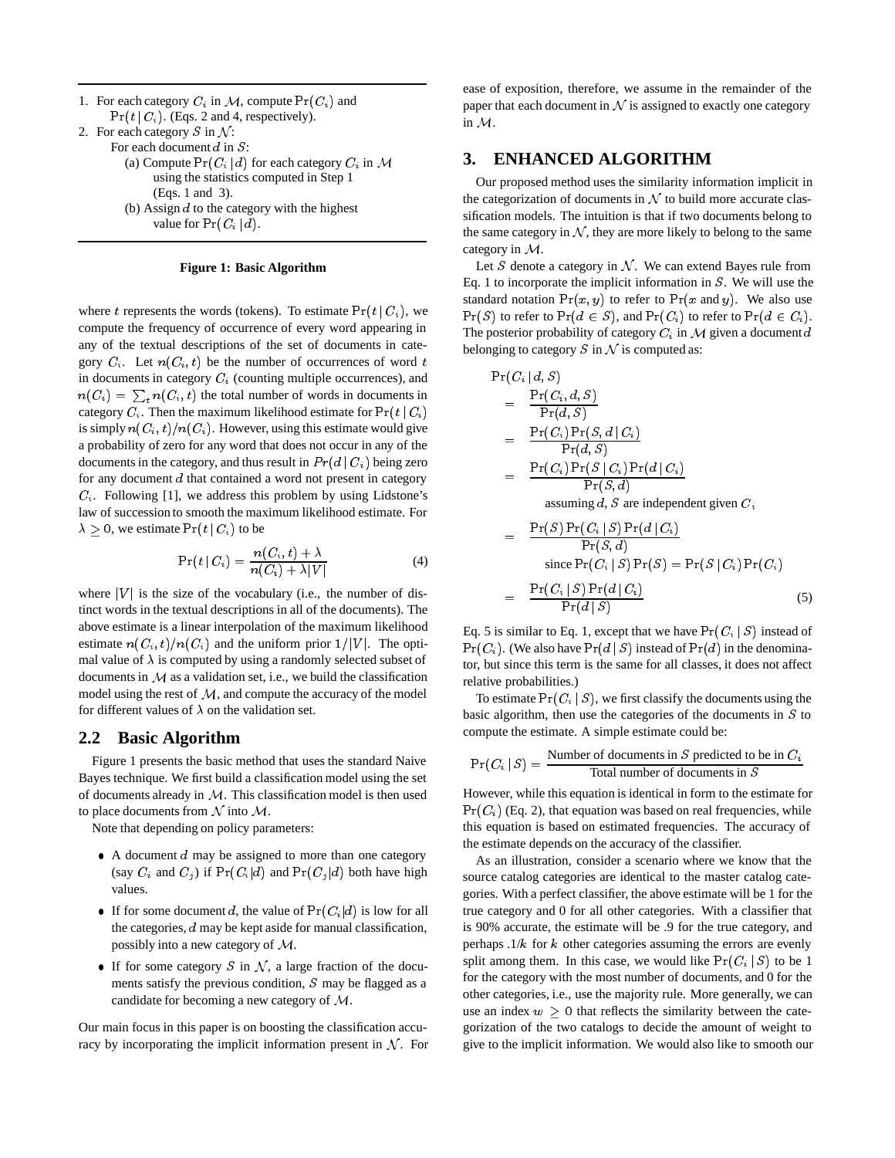| 1. For each category $C_i$ in M, compute $Pr(C_i)$ and |
|--------------------------------------------------------|
| $Pr(t   C_i)$ . (Eqs. 2 and 4, respectively).          |
| 2. For each category S in $\mathcal{N}$ :              |
| For each document $d$ in $S$ :                         |
| (a) Compute $Pr(C_i   d)$ for each category $C_i$ in M |
| using the statistics computed in Step 1                |
| (Eqs. 1 and 3).                                        |
| (b) Assign $d$ to the category with the highest        |
| value for $Pr(C_i   d)$ .                              |

#### **Figure 1: Basic Algorithm**

where t represents the words (tokens). To estimate  $Pr(t | C_i)$ , we compute the frequency of occurrence of every word appearing in any of the textual descriptions of the set of documents in category  $C_i$ . Let  $n(C_i, t)$  be the number of occurrences of word t in documents in category  $C_i$  (counting multiple occurrences), and  $n(C_i) = \sum_t n(C_i, t)$  the total number of words in documents in category  $C_i$ . Then the maximum likelihood estimate for  $Pr(t | C_i)$ is simply  $n(C_i, t)/n(C_i)$ . However, using this estimate would give a probability of zero for any word that does not occur in any of the documents in the category, and thus result in  $Pr(d | C_i)$  being zero for any document <sup>d</sup> that contained a word not present in category  $C_i$ . Following [1], we address this problem by using Lidstone's law of succession to smooth the maximum likelihood estimate. For  $\lambda \geq 0$ , we estimate  $\Pr(t \,|\, C_i)$  to be

$$
\Pr(t \mid C_i) = \frac{n(C_i, t) + \lambda}{n(C_i) + \lambda |V|} \tag{4}
$$

where  $|V|$  is the size of the vocabulary (i.e., the number of distinct words in the textual descriptions in all of the documents). The above estimate is a linear interpolation of the maximum likelihood estimate  $n(C_i, t)/n(C_i)$  and the uniform prior  $1/|V|$ . The optimal value of  $\lambda$  is computed by using a randomly selected subset of documents in  $M$  as a validation set, i.e., we build the classification model using the rest of  $M$ , and compute the accuracy of the model for different values of  $\lambda$  on the validation set.

#### **2.2 Basic Algorithm**

Figure 1 presents the basic method that uses the standard Naive Bayes technique. We first build a classification model using the set of documents already in  $M$ . This classification model is then used to place documents from  $N$  into  $M$ .

Note that depending on policy parameters:

- $\bullet$  A document  $d$  may be assigned to more than one category (say  $C_i$  and  $C_j$ ) if  $Pr(C_i | d)$  and  $Pr(C_j | d)$  both have high values.
- If for some document d, the value of  $Pr(C_i | d)$  is low for all the categories, <sup>d</sup> may be kept aside for manual classification, possibly into a new category of M.
- If for some category S in N, a large fraction of the documents satisfy the previous condition, <sup>S</sup> may be flagged as a candidate for becoming a new category of M.

Our main focus in this paper is on boosting the classification accuracy by incorporating the implicit information present in  $N$ . For ease of exposition, therefore, we assume in the remainder of the paper that each document in  $N$  is assigned to exactly one category in M.

#### **3. ENHANCED ALGORITHM**

Our proposed method uses the similarity information implicit in the categorization of documents in  $N$  to build more accurate classification models. The intuition is that if two documents belong to the same category in  $N$ , they are more likely to belong to the same category in M.

Let  $S$  denote a category in  $N$ . We can extend Bayes rule from Eq. 1 to incorporate the implicit information in  $S$ . We will use the standard notation  $Pr(x, y)$  to refer to  $Pr(x \text{ and } y)$ . We also use  $Pr(S)$  to refer to  $Pr(d \in S)$ , and  $Pr(C_i)$  to refer to  $Pr(d \in C_i)$ . The posterior probability of category  $C_i$  in M given a document d belonging to category  $S$  in  $N$  is computed as:

$$
Pr(C_i | d, S)
$$
\n
$$
= \frac{Pr(C_i, d, S)}{Pr(d, S)}
$$
\n
$$
= \frac{Pr(C_i) Pr(S, d | C_i)}{Pr(d, S)}
$$
\n
$$
= \frac{Pr(C_i) Pr(S | C_i) Pr(d | C_i)}{Pr(S, d)}
$$
\nassuming d, S are independent given C,\n
$$
= \frac{Pr(S) Pr(C_i | S) Pr(d | C_i)}{Pr(S, d)}
$$
\n
$$
= \frac{Pr(S) Pr(C_i | S) Pr(S) = Pr(S | C_i) Pr(C_i)}{Pr(C_i | S) Pr(S) = Pr(S | C_i) Pr(C_i)}
$$
\n
$$
= \frac{Pr(C_i | S) Pr(d | C_i)}{Pr(d | S)}
$$
\n(5)

Eq. 5 is similar to Eq. 1, except that we have  $Pr(C_i | S)$  instead of  $Pr(C_i)$ . (We also have  $Pr(d | S)$  instead of  $Pr(d)$  in the denominator, but since this term is the same for all classes, it does not affect relative probabilities.)

To estimate  $Pr(C_i | S)$ , we first classify the documents using the basic algorithm, then use the categories of the documents in  $S$  to compute the estimate. A simple estimate could be:

$$
Pr(C_i | S) = \frac{\text{Number of documents in } S \text{ predicted to be in } C_i}{\text{Total number of documents in } S}
$$

However, while this equation is identical in form to the estimate for  $Pr(C_i)$  (Eq. 2), that equation was based on real frequencies, while this equation is based on estimated frequencies. The accuracy of the estimate depends on the accuracy of the classifier.

As an illustration, consider a scenario where we know that the source catalog categories are identical to the master catalog categories. With a perfect classifier, the above estimate will be 1 for the true category and 0 for all other categories. With a classifier that is 90% accurate, the estimate will be .9 for the true category, and perhaps  $.1/k$  for k other categories assuming the errors are evenly split among them. In this case, we would like  $Pr(C_i | S)$  to be 1 for the category with the most number of documents, and 0 for the other categories, i.e., use the majority rule. More generally, we can use an index  $w \geq 0$  that reflects the similarity between the categorization of the two catalogs to decide the amount of weight to give to the implicit information. We would also like to smooth our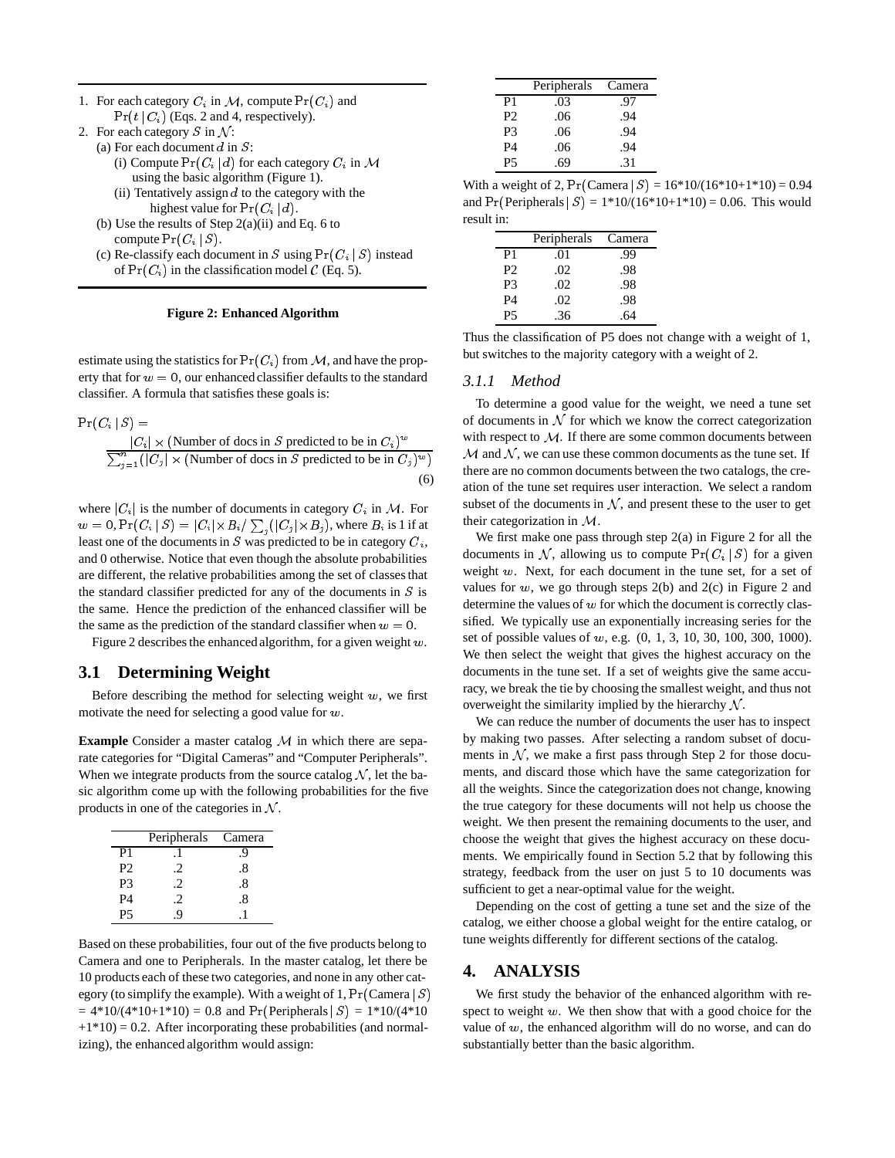- 1. For each category  $C_i$  in M, compute  $Pr(C_i)$  and  $Pr(t | C_i)$  (Eqs. 2 and 4, respectively).
- 2. For each category  $S$  in  $\mathcal{N}$ :
	- (a) For each document  $d$  in  $S$ :
		- (i) Compute  $Pr(C_i | d)$  for each category  $C_i$  in M using the basic algorithm (Figure 1).
		- (ii) Tentatively assign  $d$  to the category with the highest value for  $Pr(C_i | d)$ .
	- (b) Use the results of Step  $2(a)(ii)$  and Eq. 6 to compute  $Pr(C_i | S)$ .
	- (c) Re-classify each document in S using  $Pr(C_i | S)$  instead of  $Pr(C_i)$  in the classification model  $C$  (Eq. 5).

#### **Figure 2: Enhanced Algorithm**

estimate using the statistics for  $Pr(C_i)$  from M, and have the property that for  $w = 0$ , our enhanced classifier defaults to the standard classifier. A formula that satisfies these goals is:

$$
Pr(C_i | S) =
$$
\n
$$
\frac{|C_i| \times (\text{Number of does in } S \text{ predicted to be in } C_i)^w}{\sum_{j=1}^n (|C_j| \times (\text{Number of does in } S \text{ predicted to be in } C_j)^w)}
$$
\n(6)

where  $|C_i|$  is the number of documents in category  $C_i$  in M. For  $w=0,$   $\Pr(C_i \,|\, S)=|C_i| \times B_i / \sum_j (|C_j| \times B_j),$  where  $B_i$  is 1 if at least one of the documents in  $S$  was predicted to be in category  $C_i$ , and 0 otherwise. Notice that even though the absolute probabilities are different, the relative probabilities among the set of classes that the standard classifier predicted for any of the documents in  $S$  is the same. Hence the prediction of the enhanced classifier will be the same as the prediction of the standard classifier when  $w = 0$ .

Figure 2 describes the enhanced algorithm, for a given weight <sup>w</sup>.

## **3.1 Determining Weight**

Before describing the method for selecting weight  $w$ , we first motivate the need for selecting a good value for <sup>w</sup>.

**Example** Consider a master catalog M in which there are separate categories for "Digital Cameras" and "Computer Peripherals". When we integrate products from the source catalog  $N$ , let the basic algorithm come up with the following probabilities for the five products in one of the categories in  $N$ .

|                | Peripherals | Camera |
|----------------|-------------|--------|
| P1             |             | 9      |
| P2             |             | .8     |
| P <sub>3</sub> | $\cdot$ 2   | .8     |
| P <sub>4</sub> | .2          | .8     |
| P5             | Q           |        |

Based on these probabilities, four out of the five products belong to Camera and one to Peripherals. In the master catalog, let there be 10 products each of these two categories, and none in any other category (to simplify the example). With a weight of 1,  $Pr(Camera | S)$  $= 4*10/(4*10+1*10) = 0.8$  and Pr(Peripherals  $|S| = 1*10/(4*10)$  $+1*10$ ) = 0.2. After incorporating these probabilities (and normalizing), the enhanced algorithm would assign:

|                | Peripherals | Camera |
|----------------|-------------|--------|
| P1             | .03         | .97    |
| P <sub>2</sub> | .06         | .94    |
| P3             | .06         | .94    |
| P4             | .06         | .94    |
| P5             | .69         | .31    |

With a weight of 2,  $Pr(Camera | S) = 16*10/(16*10+1*10) = 0.94$ and  $Pr(Peripherals | S) = 1*10/(16*10+1*10) = 0.06$ . This would result in:

|                | Peripherals | Camera |
|----------------|-------------|--------|
| P1             | .01         | .99    |
| P <sub>2</sub> | .02         | .98    |
| P3             | .02         | .98    |
| <b>P4</b>      | .02         | .98    |
| P5             | .36         | 64     |

Thus the classification of P5 does not change with a weight of 1, but switches to the majority category with a weight of 2.

#### *3.1.1 Method*

To determine a good value for the weight, we need a tune set of documents in  $N$  for which we know the correct categorization with respect to  $M$ . If there are some common documents between  $M$  and  $N$ , we can use these common documents as the tune set. If there are no common documents between the two catalogs, the creation of the tune set requires user interaction. We select a random subset of the documents in  $N$ , and present these to the user to get their categorization in M.

We first make one pass through step 2(a) in Figure 2 for all the documents in N, allowing us to compute  $Pr(C_i | S)$  for a given weight  $w$ . Next, for each document in the tune set, for a set of values for  $w$ , we go through steps  $2(b)$  and  $2(c)$  in Figure 2 and determine the values of  $w$  for which the document is correctly classified. We typically use an exponentially increasing series for the set of possible values of <sup>w</sup>, e.g. (0, 1, 3, 10, 30, 100, 300, 1000). We then select the weight that gives the highest accuracy on the documents in the tune set. If a set of weights give the same accuracy, we break the tie by choosing the smallest weight, and thus not overweight the similarity implied by the hierarchy  $N$ .

We can reduce the number of documents the user has to inspect by making two passes. After selecting a random subset of documents in  $N$ , we make a first pass through Step 2 for those documents, and discard those which have the same categorization for all the weights. Since the categorization does not change, knowing the true category for these documents will not help us choose the weight. We then present the remaining documents to the user, and choose the weight that gives the highest accuracy on these documents. We empirically found in Section 5.2 that by following this strategy, feedback from the user on just 5 to 10 documents was sufficient to get a near-optimal value for the weight.

Depending on the cost of getting a tune set and the size of the catalog, we either choose a global weight for the entire catalog, or tune weights differently for different sections of the catalog.

## **4. ANALYSIS**

We first study the behavior of the enhanced algorithm with respect to weight  $w$ . We then show that with a good choice for the value of  $w$ , the enhanced algorithm will do no worse, and can do substantially better than the basic algorithm.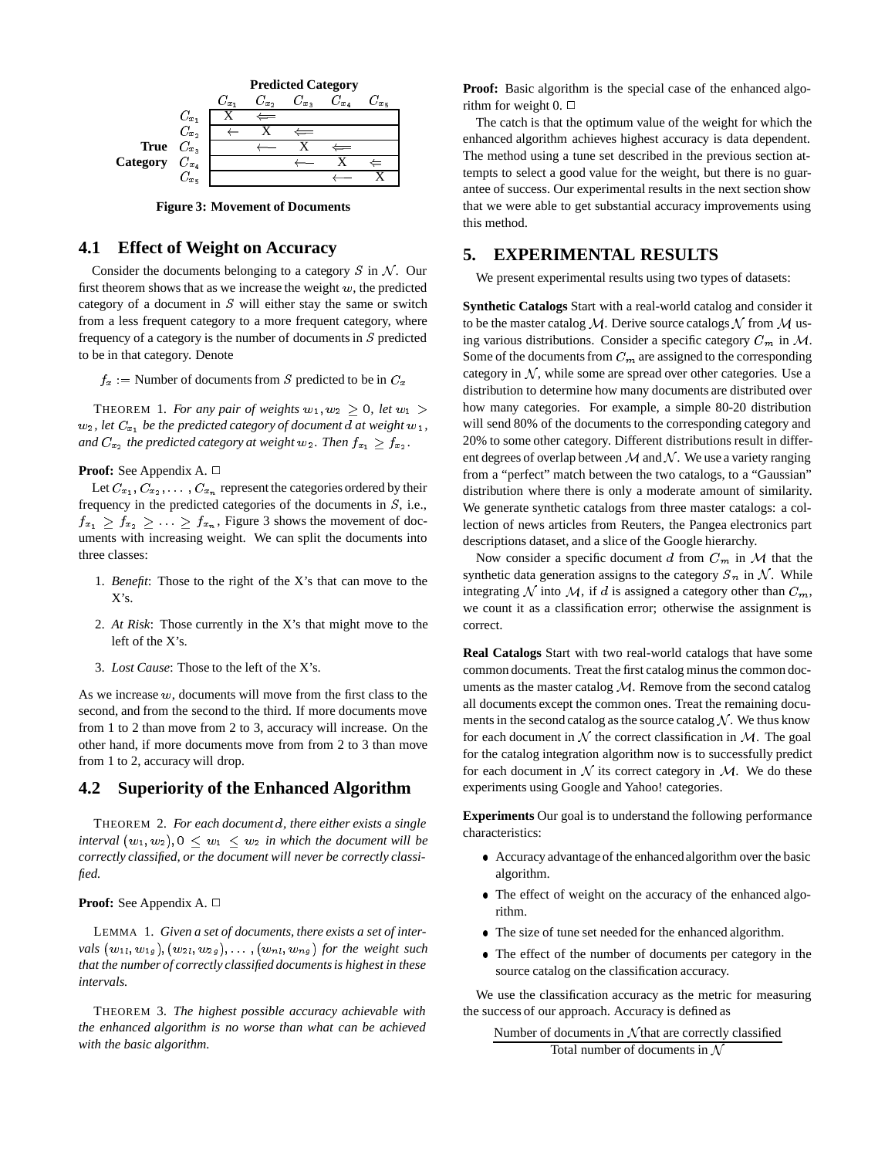

**Figure 3: Movement of Documents**

#### **4.1 Effect of Weight on Accuracy**

Consider the documents belonging to a category  $S$  in  $N$ . Our first theorem shows that as we increase the weight  $w$ , the predicted category of a document in  $S$  will either stay the same or switch from a less frequent category to a more frequent category, where frequency of a category is the number of documents in  $S$  predicted to be in that category. Denote

 $f_x$  : Number of documents from S predicted to be in  $C_x$ 

THEOREM 1. *For any pair of weights*  $w_1, w_2 \geq 0$ , let  $w_1 >$  $w_2$ , let  $C_{x_1}$  be the predicted category of document d at weight  $w_1$ , *and*  $C_{x_2}$  *the predicted category at weight*  $w_2$ *. Then*  $f_{x_1} \geq f_{x_2}$ *.* 

#### **Proof:** See Appendix A. □

Let  $C_{x_1}, C_{x_2}, \ldots, C_{x_n}$  represent the categories ordered by their frequency in the predicted categories of the documents in  $S$ , i.e.,  $f_{x_1} \geq f_{x_2} \geq \ldots \geq f_{x_n}$ , Figure 3 shows the movement of documents with increasing weight. We can split the documents into three classes:

- 1. *Benefit*: Those to the right of the X's that can move to the X's.
- 2. *At Risk*: Those currently in the X's that might move to the left of the X's.
- 3. *Lost Cause*: Those to the left of the X's.

As we increase  $w$ , documents will move from the first class to the second, and from the second to the third. If more documents move from 1 to 2 than move from 2 to 3, accuracy will increase. On the other hand, if more documents move from from 2 to 3 than move from 1 to 2, accuracy will drop.

## **4.2 Superiority of the Enhanced Algorithm**

THEOREM 2. *For each document* <sup>d</sup>*, there either exists a single interval*  $(w_1, w_2), 0 \leq w_1 \leq w_2$  *in which the document will be correctly classified, or the document will never be correctly classified.*

#### **Proof:** See Appendix A. □

LEMMA 1. *Given a set of documents, there exists a set of intervals*  $(w_{1l}, w_{1g})$ ,  $(w_{2l}, w_{2g})$ ,  $\dots$ ,  $(w_{nl}, w_{ng})$  *for the weight such that the number of correctly classified documents is highest in these intervals.*

THEOREM 3. *The highest possible accuracy achievable with the enhanced algorithm is no worse than what can be achieved with the basic algorithm.*

**Proof:** Basic algorithm is the special case of the enhanced algorithm for weight  $0. \Box$ 

The catch is that the optimum value of the weight for which the enhanced algorithm achieves highest accuracy is data dependent. The method using a tune set described in the previous section attempts to select a good value for the weight, but there is no guarantee of success. Our experimental results in the next section show that we were able to get substantial accuracy improvements using this method.

#### **5. EXPERIMENTAL RESULTS**

We present experimental results using two types of datasets:

**Synthetic Catalogs** Start with a real-world catalog and consider it to be the master catalog M. Derive source catalogs N from M using various distributions. Consider a specific category  $C_m$  in  $\mathcal{M}$ . Some of the documents from  $C_m$  are assigned to the corresponding category in  $N$ , while some are spread over other categories. Use a distribution to determine how many documents are distributed over how many categories. For example, a simple 80-20 distribution will send 80% of the documents to the corresponding category and 20% to some other category. Different distributions result in different degrees of overlap between  $M$  and  $N$ . We use a variety ranging from a "perfect" match between the two catalogs, to a "Gaussian" distribution where there is only a moderate amount of similarity. We generate synthetic catalogs from three master catalogs: a collection of news articles from Reuters, the Pangea electronics part descriptions dataset, and a slice of the Google hierarchy.

Now consider a specific document d from  $C_m$  in M that the synthetic data generation assigns to the category  $S_n$  in N. While integrating N into M, if d is assigned a category other than  $C_m$ , we count it as a classification error; otherwise the assignment is correct.

**Real Catalogs** Start with two real-world catalogs that have some common documents. Treat the first catalog minus the common documents as the master catalog  $M$ . Remove from the second catalog all documents except the common ones. Treat the remaining documents in the second catalog as the source catalog  $N$ . We thus know for each document in  $\mathcal N$  the correct classification in  $\mathcal M$ . The goal for the catalog integration algorithm now is to successfully predict for each document in  $N$  its correct category in  $M$ . We do these experiments using Google and Yahoo! categories.

**Experiments** Our goal is to understand the following performance characteristics:

- Accuracy advantage of the enhancedalgorithm over the basic algorithm.
- The effect of weight on the accuracy of the enhanced algorithm.
- The size of tune set needed for the enhanced algorithm.
- The effect of the number of documents per category in the source catalog on the classification accuracy.

We use the classification accuracy as the metric for measuring the success of our approach. Accuracy is defined as

Number of documents in  $N$  that are correctly classified Total number of documents in  $\mathcal N$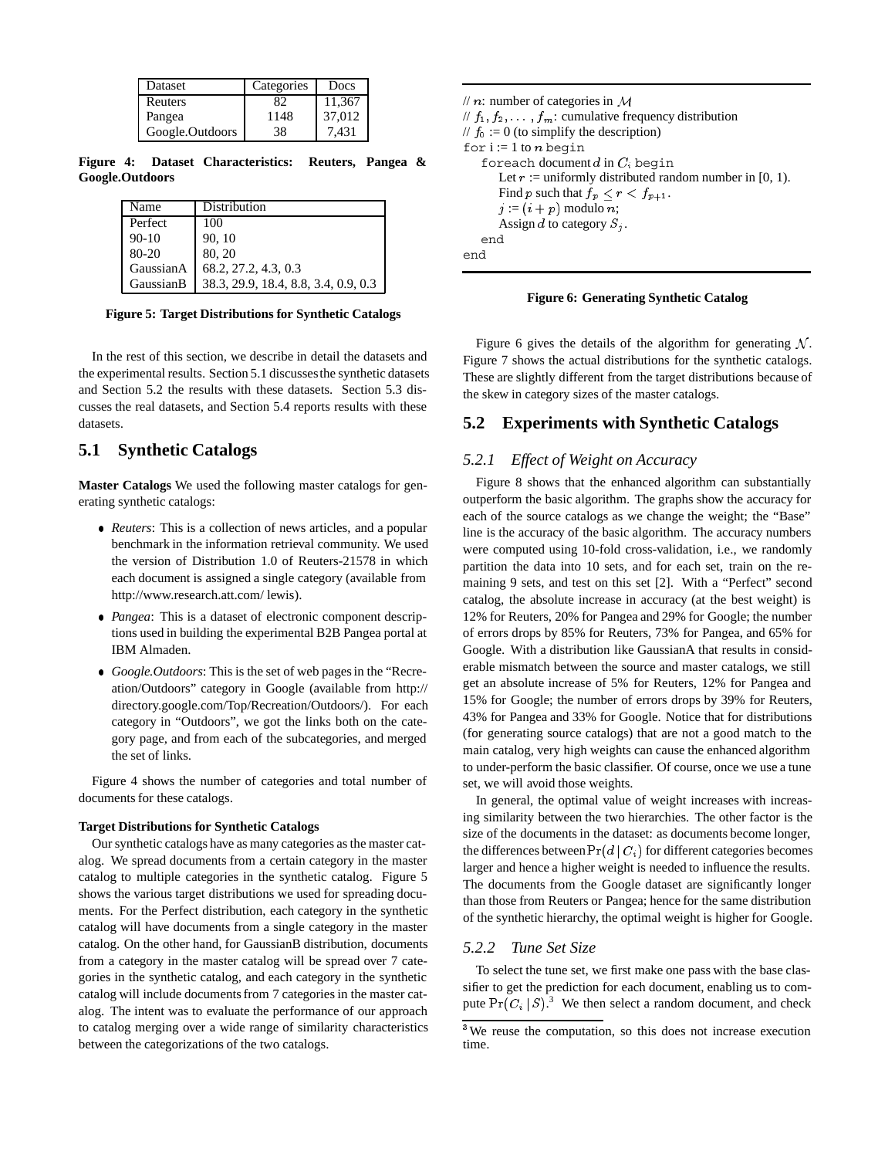| <b>Dataset</b>  | Categories | Docs   |
|-----------------|------------|--------|
| Reuters         |            | 11,367 |
| Pangea          | 1148       | 37,012 |
| Google.Outdoors | 38         | 7.431  |

**Figure 4: Dataset Characteristics: Reuters, Pangea & Google.Outdoors**

| Name      | Distribution                         |
|-----------|--------------------------------------|
| Perfect   | 100                                  |
| $90 - 10$ | 90, 10                               |
| 80-20     | 80, 20                               |
| GaussianA | 68.2, 27.2, 4.3, 0.3                 |
| GaussianB | 38.3, 29.9, 18.4, 8.8, 3.4, 0.9, 0.3 |

**Figure 5: Target Distributions for Synthetic Catalogs**

In the rest of this section, we describe in detail the datasets and the experimental results. Section 5.1 discussesthe synthetic datasets and Section 5.2 the results with these datasets. Section 5.3 discusses the real datasets, and Section 5.4 reports results with these datasets.

# **5.1 Synthetic Catalogs**

**Master Catalogs** We used the following master catalogs for generating synthetic catalogs:

- *Reuters*: This is a collection of news articles, and a popular benchmark in the information retrieval community. We used the version of Distribution 1.0 of Reuters-21578 in which each document is assigned a single category (available from http://www.research.att.com/ lewis).
- *Pangea*: This is a dataset of electronic component descriptions used in building the experimental B2B Pangea portal at IBM Almaden.
- *Google.Outdoors*: This is the set of web pages in the "Recreation/Outdoors" category in Google (available from http:// directory.google.com/Top/Recreation/Outdoors/). For each category in "Outdoors", we got the links both on the category page, and from each of the subcategories, and merged the set of links.

Figure 4 shows the number of categories and total number of documents for these catalogs.

#### **Target Distributions for Synthetic Catalogs**

Our synthetic catalogs have as many categories as the master catalog. We spread documents from a certain category in the master catalog to multiple categories in the synthetic catalog. Figure 5 shows the various target distributions we used for spreading documents. For the Perfect distribution, each category in the synthetic catalog will have documents from a single category in the master catalog. On the other hand, for GaussianB distribution, documents from a category in the master catalog will be spread over 7 categories in the synthetic catalog, and each category in the synthetic catalog will include documents from 7 categories in the master catalog. The intent was to evaluate the performance of our approach to catalog merging over a wide range of similarity characteristics between the categorizations of the two catalogs.

```
\frac{1}{n}: number of categories in M
// f_1, f_2, \ldots, f_m: cumulative frequency distribution
// f_0 := 0 (to simplify the description)
for i := 1 to n begin
   foreach document d in C_i begin
       Let r := uniformly distributed random number in [0, 1).
       Find p such that f_p \leq r < f_{p+1}.
       j := (i + p) modulo n;
       Assign d to category S_i.
   end
end
```
**Figure 6: Generating Synthetic Catalog**

Figure 6 gives the details of the algorithm for generating  $N$ . Figure 7 shows the actual distributions for the synthetic catalogs. These are slightly different from the target distributions because of the skew in category sizes of the master catalogs.

## **5.2 Experiments with Synthetic Catalogs**

#### *5.2.1 Effect of Weight on Accuracy*

Figure 8 shows that the enhanced algorithm can substantially outperform the basic algorithm. The graphs show the accuracy for each of the source catalogs as we change the weight; the "Base" line is the accuracy of the basic algorithm. The accuracy numbers were computed using 10-fold cross-validation, i.e., we randomly partition the data into 10 sets, and for each set, train on the remaining 9 sets, and test on this set [2]. With a "Perfect" second catalog, the absolute increase in accuracy (at the best weight) is 12% for Reuters, 20% for Pangea and 29% for Google; the number of errors drops by 85% for Reuters, 73% for Pangea, and 65% for Google. With a distribution like GaussianA that results in considerable mismatch between the source and master catalogs, we still get an absolute increase of 5% for Reuters, 12% for Pangea and 15% for Google; the number of errors drops by 39% for Reuters, 43% for Pangea and 33% for Google. Notice that for distributions (for generating source catalogs) that are not a good match to the main catalog, very high weights can cause the enhanced algorithm to under-perform the basic classifier. Of course, once we use a tune set, we will avoid those weights.

In general, the optimal value of weight increases with increasing similarity between the two hierarchies. The other factor is the size of the documents in the dataset: as documents become longer, the differences between  $Pr(d | C_i)$  for different categories becomes larger and hence a higher weight is needed to influence the results. The documents from the Google dataset are significantly longer than those from Reuters or Pangea; hence for the same distribution of the synthetic hierarchy, the optimal weight is higher for Google.

#### *5.2.2 Tune Set Size*

To select the tune set, we first make one pass with the base classifier to get the prediction for each document, enabling us to compute  $Pr(C_i | S)^3$  We then select a random document, and check

<sup>&</sup>lt;sup>3</sup>We reuse the computation, so this does not increase execution time.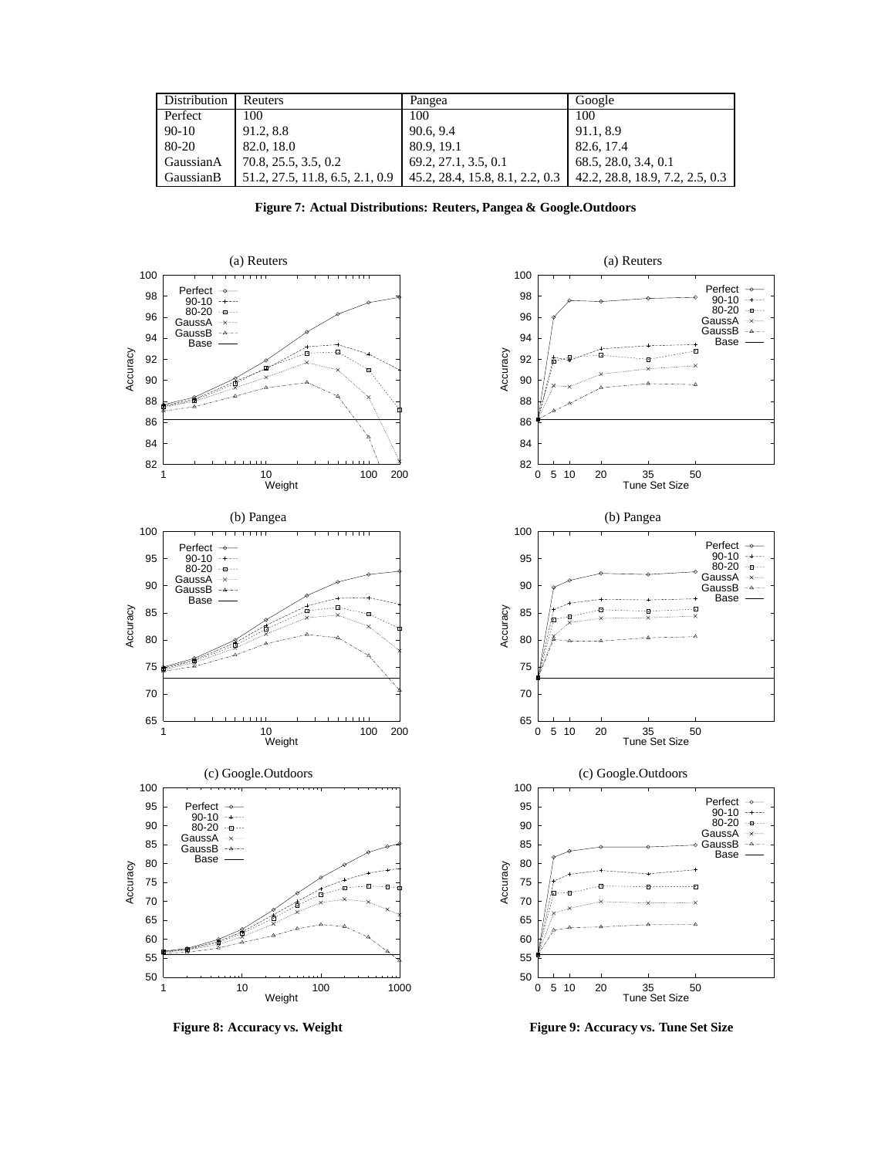| Distribution | Reuters                         | Pangea                          | Google                          |
|--------------|---------------------------------|---------------------------------|---------------------------------|
| Perfect      | 100                             | 100                             | 100                             |
| $90-10$      | 91.2, 8.8                       | 90.6, 9.4                       | 91.1, 8.9                       |
| 80-20        | 82.0, 18.0                      | 80.9, 19.1                      | 82.6, 17.4                      |
| GaussianA    | 70.8, 25.5, 3.5, 0.2            | 69.2, 27.1, 3.5, 0.1            | 68.5, 28.0, 3.4, 0.1            |
| GaussianB    | 51.2, 27.5, 11.8, 6.5, 2.1, 0.9 | 45.2, 28.4, 15.8, 8.1, 2.2, 0.3 | 42.2, 28.8, 18.9, 7.2, 2.5, 0.3 |

**Figure 7: Actual Distributions: Reuters, Pangea & Google.Outdoors**





Figure 8: Accuracy vs. Weight **Figure 9: Accuracy vs. Tune Set Size**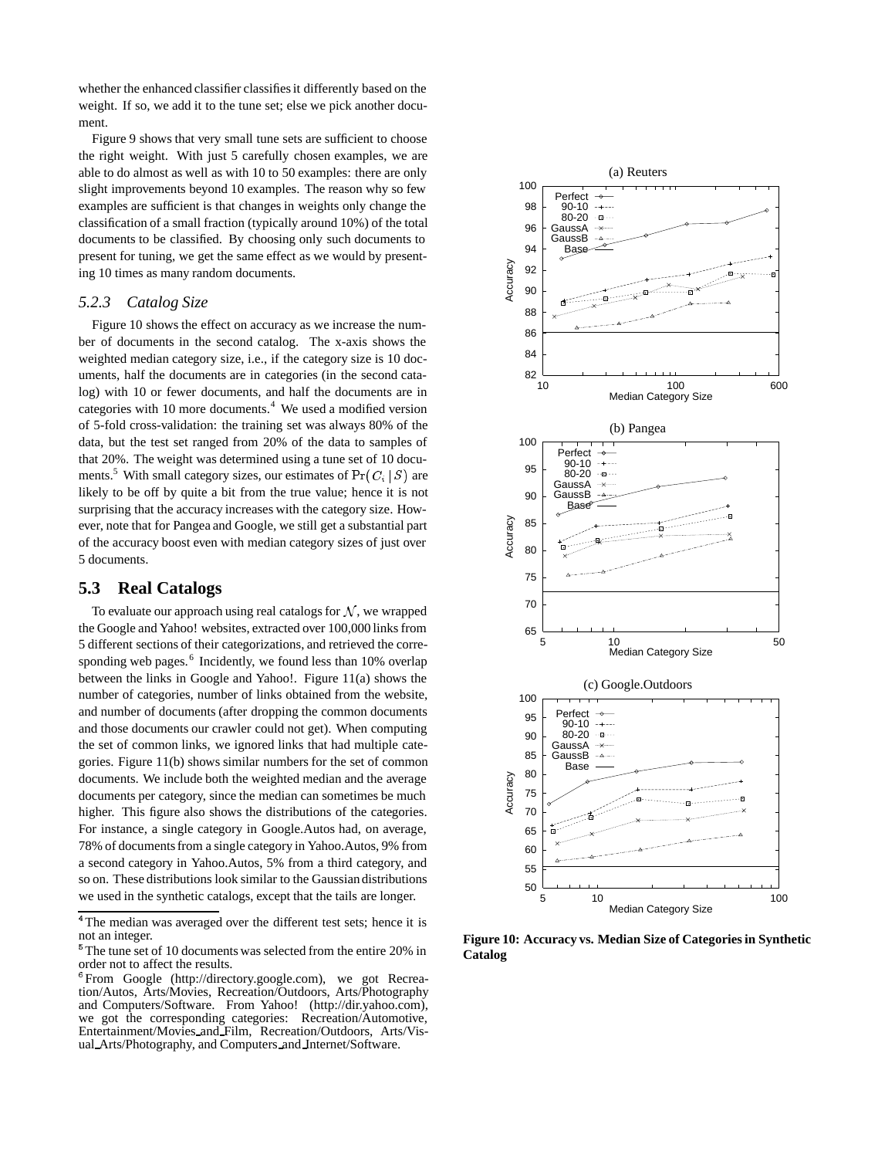whether the enhanced classifier classifies it differently based on the weight. If so, we add it to the tune set; else we pick another document.

Figure 9 shows that very small tune sets are sufficient to choose the right weight. With just 5 carefully chosen examples, we are able to do almost as well as with 10 to 50 examples: there are only slight improvements beyond 10 examples. The reason why so few examples are sufficient is that changes in weights only change the classification of a small fraction (typically around 10%) of the total documents to be classified. By choosing only such documents to present for tuning, we get the same effect as we would by presenting 10 times as many random documents.

#### *5.2.3 Catalog Size*

Figure 10 shows the effect on accuracy as we increase the number of documents in the second catalog. The x-axis shows the weighted median category size, i.e., if the category size is 10 documents, half the documents are in categories (in the second catalog) with 10 or fewer documents, and half the documents are in categories with 10 more documents.<sup>4</sup> We used a modified version of 5-fold cross-validation: the training set was always 80% of the data, but the test set ranged from 20% of the data to samples of that 20%. The weight was determined using a tune set of 10 documents.<sup>5</sup> With small category sizes, our estimates of  $Pr(C_i | S)$  are likely to be off by quite a bit from the true value; hence it is not surprising that the accuracy increases with the category size. However, note that for Pangea and Google, we still get a substantial part of the accuracy boost even with median category sizes of just over 5 documents.

## **5.3 Real Catalogs**

To evaluate our approach using real catalogs for  $N$ , we wrapped the Google and Yahoo! websites, extracted over 100,000 links from 5 different sections of their categorizations, and retrieved the corresponding web pages.<sup>6</sup> Incidently, we found less than 10% overlap between the links in Google and Yahoo!. Figure 11(a) shows the number of categories, number of links obtained from the website, and number of documents (after dropping the common documents and those documents our crawler could not get). When computing the set of common links, we ignored links that had multiple categories. Figure 11(b) shows similar numbers for the set of common documents. We include both the weighted median and the average documents per category, since the median can sometimes be much higher. This figure also shows the distributions of the categories. For instance, a single category in Google.Autos had, on average, 78% of documents from a single category in Yahoo.Autos, 9% from a second category in Yahoo.Autos, 5% from a third category, and so on. These distributions look similar to the Gaussian distributions we used in the synthetic catalogs, except that the tails are longer.



**Figure 10: Accuracy vs. Median Size of Categories in Synthetic Catalog**

<sup>&</sup>lt;sup>4</sup>The median was averaged over the different test sets; hence it is not an integer.

<sup>&</sup>lt;sup>5</sup>The tune set of 10 documents was selected from the entire 20% in order not to affect the results.

<sup>&</sup>lt;sup>6</sup> From Google (http://directory.google.com), we got Recreation/Autos, Arts/Movies, Recreation/Outdoors, Arts/Photography and Computers/Software. From Yahoo! (http://dir.yahoo.com), we got the corresponding categories: Recreation/Automotive, Entertainment/Movies and Film, Recreation/Outdoors, Arts/Visual Arts/Photography, and Computers and Internet/Software.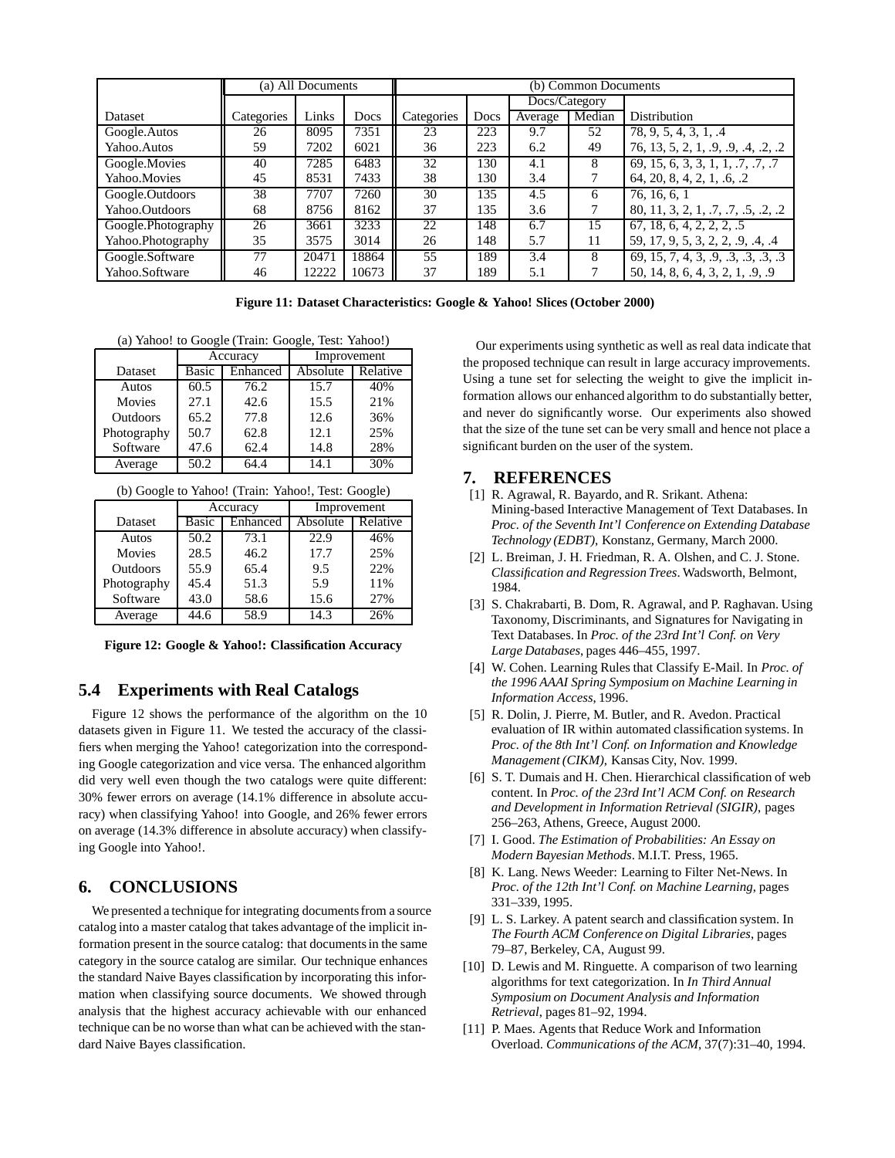|                    |            | (a) All Documents |       | (b) Common Documents |               |         |        |                                     |
|--------------------|------------|-------------------|-------|----------------------|---------------|---------|--------|-------------------------------------|
|                    |            |                   |       |                      | Docs/Category |         |        |                                     |
| <b>Dataset</b>     | Categories | Links             | Docs  | Categories           | Docs          | Average | Median | Distribution                        |
| Google.Autos       | 26         | 8095              | 7351  | 23                   | 223           | 9.7     | 52     | 78, 9, 5, 4, 3, 1, .4               |
| Yahoo.Autos        | 59         | 7202              | 6021  | 36                   | 223           | 6.2     | 49     | 76, 13, 5, 2, 1, 9, 9, 4, 2, 2      |
| Google.Movies      | 40         | 7285              | 6483  | 32                   | 130           | 4.1     | 8      | 69, 15, 6, 3, 3, 1, 1, .7, .7, .7   |
| Yahoo.Movies       | 45         | 8531              | 7433  | 38                   | 130           | 3.4     |        | 64, 20, 8, 4, 2, 1, .6, .2          |
| Google.Outdoors    | 38         | 7707              | 7260  | 30                   | 135           | 4.5     | 6      | 76, 16, 6, 1                        |
| Yahoo.Outdoors     | 68         | 8756              | 8162  | 37                   | 135           | 3.6     |        | 80, 11, 3, 2, 1, .7, .7, .5, .2, .2 |
| Google.Photography | 26         | 3661              | 3233  | 22                   | 148           | 6.7     | 15     | 67, 18, 6, 4, 2, 2, 2, .5           |
| Yahoo.Photography  | 35         | 3575              | 3014  | 26                   | 148           | 5.7     | 11     | 59, 17, 9, 5, 3, 2, 2, .9, .4, .4   |
| Google.Software    | 77         | 20471             | 18864 | 55                   | 189           | 3.4     | 8      | 69, 15, 7, 4, 3, .9, .3, .3, .3, .3 |
| Yahoo.Software     | 46         | 12222             | 10673 | 37                   | 189           | 5.1     |        | 50, 14, 8, 6, 4, 3, 2, 1, 9, 9      |

**Figure 11: Dataset Characteristics: Google & Yahoo! Slices (October 2000)**

(a) Yahoo! to Google (Train: Google, Test: Yahoo!)

|               |                   | Accuracy | Improvement |          |
|---------------|-------------------|----------|-------------|----------|
| Dataset       | Enhanced<br>Basic |          | Absolute    | Relative |
| Autos         | 60.5              | 76.2     | 15.7        | 40%      |
| <b>Movies</b> | 27.1              | 42.6     | 15.5        | 21%      |
| Outdoors      | 65.2              | 77.8     | 12.6        | 36%      |
| Photography   | 50.7<br>62.8      |          | 12.1        | 25%      |
| Software      | 47.6              | 62.4     | 14.8        | 28%      |
| Average       | 50.2              | 64.4     | 14.1        | 30%      |

(b) Google to Yahoo! (Train: Yahoo!, Test: Google)

|               |                          | Accuracy | Improvement |          |
|---------------|--------------------------|----------|-------------|----------|
| Dataset       | <b>Basic</b><br>Enhanced |          | Absolute    | Relative |
| Autos         | 50.2                     | 73.1     | 22.9        | 46%      |
| <b>Movies</b> | 28.5<br>46.2             |          | 17.7        | 25%      |
| Outdoors      | 55.9                     | 65.4     | 9.5         | 22%      |
| Photography   | 45.4                     | 51.3     | 5.9         | 11%      |
| Software      | 43.0                     | 58.6     | 15.6        | 27%      |
| Average       | 44.6                     | 58.9     | 14.3        | 26%      |

**Figure 12: Google & Yahoo!: Classification Accuracy**

# **5.4 Experiments with Real Catalogs**

Figure 12 shows the performance of the algorithm on the 10 datasets given in Figure 11. We tested the accuracy of the classifiers when merging the Yahoo! categorization into the corresponding Google categorization and vice versa. The enhanced algorithm did very well even though the two catalogs were quite different: 30% fewer errors on average (14.1% difference in absolute accuracy) when classifying Yahoo! into Google, and 26% fewer errors on average (14.3% difference in absolute accuracy) when classifying Google into Yahoo!.

## **6. CONCLUSIONS**

We presented a technique for integrating documents from a source catalog into a master catalog that takes advantage of the implicit information present in the source catalog: that documents in the same category in the source catalog are similar. Our technique enhances the standard Naive Bayes classification by incorporating this information when classifying source documents. We showed through analysis that the highest accuracy achievable with our enhanced technique can be no worse than what can be achieved with the standard Naive Bayes classification.

Our experiments using synthetic as well as real data indicate that the proposed technique can result in large accuracy improvements. Using a tune set for selecting the weight to give the implicit information allows our enhanced algorithm to do substantially better, and never do significantly worse. Our experiments also showed that the size of the tune set can be very small and hence not place a significant burden on the user of the system.

#### **7. REFERENCES**

- [1] R. Agrawal, R. Bayardo, and R. Srikant. Athena: Mining-based Interactive Management of Text Databases. In *Proc. of the Seventh Int'l Conference on Extending Database Technology (EDBT)*, Konstanz, Germany, March 2000.
- [2] L. Breiman, J. H. Friedman, R. A. Olshen, and C. J. Stone. *Classification and Regression Trees*. Wadsworth, Belmont, 1984.
- [3] S. Chakrabarti, B. Dom, R. Agrawal, and P. Raghavan. Using Taxonomy, Discriminants, and Signatures for Navigating in Text Databases. In *Proc. of the 23rd Int'l Conf. on Very Large Databases*, pages 446–455, 1997.
- [4] W. Cohen. Learning Rules that Classify E-Mail. In *Proc. of the 1996 AAAI Spring Symposium on Machine Learning in Information Access*, 1996.
- [5] R. Dolin, J. Pierre, M. Butler, and R. Avedon. Practical evaluation of IR within automated classification systems. In *Proc. of the 8th Int'l Conf. on Information and Knowledge Management (CIKM)*, Kansas City, Nov. 1999.
- [6] S. T. Dumais and H. Chen. Hierarchical classification of web content. In *Proc. of the 23rd Int'l ACM Conf. on Research and Development in Information Retrieval (SIGIR)*, pages 256–263, Athens, Greece, August 2000.
- [7] I. Good. *The Estimation of Probabilities: An Essay on Modern Bayesian Methods*. M.I.T. Press, 1965.
- [8] K. Lang. News Weeder: Learning to Filter Net-News. In *Proc. of the 12th Int'l Conf. on Machine Learning*, pages 331–339, 1995.
- [9] L. S. Larkey. A patent search and classification system. In *The Fourth ACM Conference on Digital Libraries*, pages 79–87, Berkeley, CA, August 99.
- [10] D. Lewis and M. Ringuette. A comparison of two learning algorithms for text categorization. In *In Third Annual Symposium on Document Analysis and Information Retrieval*, pages 81–92, 1994.
- [11] P. Maes. Agents that Reduce Work and Information Overload. *Communications of the ACM*, 37(7):31–40, 1994.